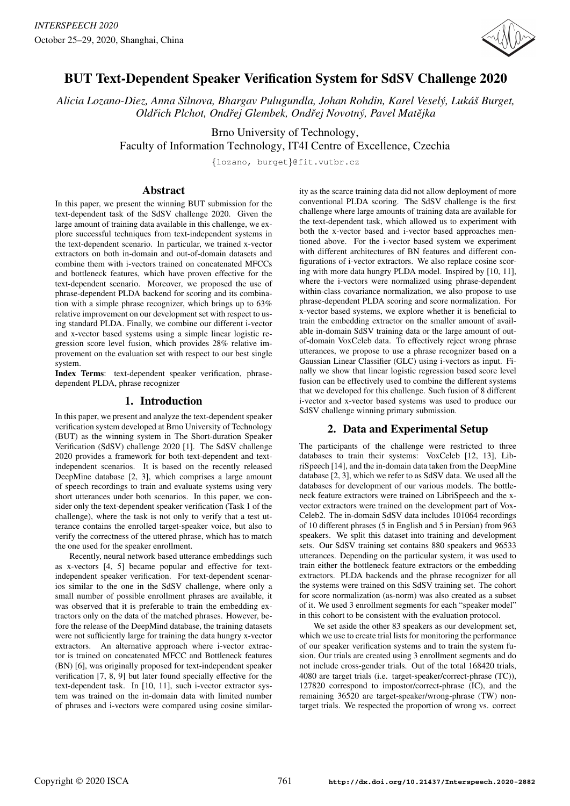

# BUT Text-Dependent Speaker Verification System for SdSV Challenge 2020

*Alicia Lozano-Diez, Anna Silnova, Bhargav Pulugundla, Johan Rohdin, Karel Vesely, Luk ´ a´s Burget, ˇ Oldrich Plchot, Ond ˇ rej Glembek, Ond ˇ rej Novotn ˇ y, Pavel Mat ´ ejka ˇ*

> Brno University of Technology, Faculty of Information Technology, IT4I Centre of Excellence, Czechia

> > {lozano, burget}@fit.vutbr.cz

### Abstract

In this paper, we present the winning BUT submission for the text-dependent task of the SdSV challenge 2020. Given the large amount of training data available in this challenge, we explore successful techniques from text-independent systems in the text-dependent scenario. In particular, we trained x-vector extractors on both in-domain and out-of-domain datasets and combine them with i-vectors trained on concatenated MFCCs and bottleneck features, which have proven effective for the text-dependent scenario. Moreover, we proposed the use of phrase-dependent PLDA backend for scoring and its combination with a simple phrase recognizer, which brings up to 63% relative improvement on our development set with respect to using standard PLDA. Finally, we combine our different i-vector and x-vector based systems using a simple linear logistic regression score level fusion, which provides 28% relative improvement on the evaluation set with respect to our best single system.

Index Terms: text-dependent speaker verification, phrasedependent PLDA, phrase recognizer

# 1. Introduction

In this paper, we present and analyze the text-dependent speaker verification system developed at Brno University of Technology (BUT) as the winning system in The Short-duration Speaker Verification (SdSV) challenge 2020 [1]. The SdSV challenge 2020 provides a framework for both text-dependent and textindependent scenarios. It is based on the recently released DeepMine database [2, 3], which comprises a large amount of speech recordings to train and evaluate systems using very short utterances under both scenarios. In this paper, we consider only the text-dependent speaker verification (Task 1 of the challenge), where the task is not only to verify that a test utterance contains the enrolled target-speaker voice, but also to verify the correctness of the uttered phrase, which has to match the one used for the speaker enrollment.

Recently, neural network based utterance embeddings such as x-vectors [4, 5] became popular and effective for textindependent speaker verification. For text-dependent scenarios similar to the one in the SdSV challenge, where only a small number of possible enrollment phrases are available, it was observed that it is preferable to train the embedding extractors only on the data of the matched phrases. However, before the release of the DeepMind database, the training datasets were not sufficiently large for training the data hungry x-vector extractors. An alternative approach where i-vector extractor is trained on concatenated MFCC and Bottleneck features (BN) [6], was originally proposed for text-independent speaker verification [7, 8, 9] but later found specially effective for the text-dependent task. In [10, 11], such i-vector extractor system was trained on the in-domain data with limited number of phrases and i-vectors were compared using cosine similarity as the scarce training data did not allow deployment of more conventional PLDA scoring. The SdSV challenge is the first challenge where large amounts of training data are available for the text-dependent task, which allowed us to experiment with both the x-vector based and i-vector based approaches mentioned above. For the i-vector based system we experiment with different architectures of BN features and different configurations of i-vector extractors. We also replace cosine scoring with more data hungry PLDA model. Inspired by [10, 11], where the i-vectors were normalized using phrase-dependent within-class covariance normalization, we also propose to use phrase-dependent PLDA scoring and score normalization. For x-vector based systems, we explore whether it is beneficial to train the embedding extractor on the smaller amount of available in-domain SdSV training data or the large amount of outof-domain VoxCeleb data. To effectively reject wrong phrase utterances, we propose to use a phrase recognizer based on a Gaussian Linear Classifier (GLC) using i-vectors as input. Finally we show that linear logistic regression based score level fusion can be effectively used to combine the different systems that we developed for this challenge. Such fusion of 8 different i-vector and x-vector based systems was used to produce our SdSV challenge winning primary submission.

# 2. Data and Experimental Setup

The participants of the challenge were restricted to three databases to train their systems: VoxCeleb [12, 13], LibriSpeech [14], and the in-domain data taken from the DeepMine database [2, 3], which we refer to as SdSV data. We used all the databases for development of our various models. The bottleneck feature extractors were trained on LibriSpeech and the xvector extractors were trained on the development part of Vox-Celeb2. The in-domain SdSV data includes 101064 recordings of 10 different phrases (5 in English and 5 in Persian) from 963 speakers. We split this dataset into training and development sets. Our SdSV training set contains 880 speakers and 96533 utterances. Depending on the particular system, it was used to train either the bottleneck feature extractors or the embedding extractors. PLDA backends and the phrase recognizer for all the systems were trained on this SdSV training set. The cohort for score normalization (as-norm) was also created as a subset of it. We used 3 enrollment segments for each "speaker model" in this cohort to be consistent with the evaluation protocol.

We set aside the other 83 speakers as our development set, which we use to create trial lists for monitoring the performance of our speaker verification systems and to train the system fusion. Our trials are created using 3 enrollment segments and do not include cross-gender trials. Out of the total 168420 trials, 4080 are target trials (i.e. target-speaker/correct-phrase (TC)), 127820 correspond to impostor/correct-phrase (IC), and the remaining 36520 are target-speaker/wrong-phrase (TW) nontarget trials. We respected the proportion of wrong vs. correct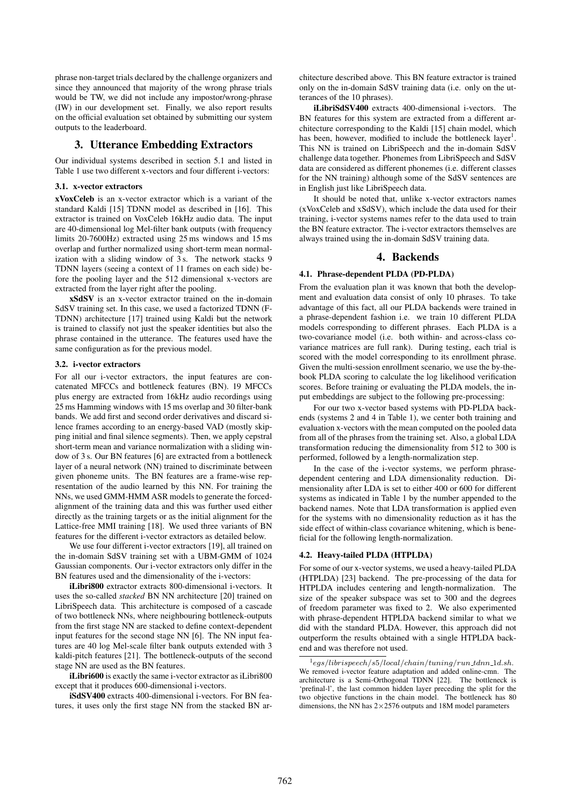phrase non-target trials declared by the challenge organizers and since they announced that majority of the wrong phrase trials would be TW, we did not include any impostor/wrong-phrase (IW) in our development set. Finally, we also report results on the official evaluation set obtained by submitting our system outputs to the leaderboard.

### 3. Utterance Embedding Extractors

Our individual systems described in section 5.1 and listed in Table 1 use two different x-vectors and four different i-vectors:

#### 3.1. x-vector extractors

xVoxCeleb is an x-vector extractor which is a variant of the standard Kaldi [15] TDNN model as described in [16]. This extractor is trained on VoxCeleb 16kHz audio data. The input are 40-dimensional log Mel-filter bank outputs (with frequency limits 20-7600Hz) extracted using 25 ms windows and 15 ms overlap and further normalized using short-term mean normalization with a sliding window of 3 s. The network stacks 9 TDNN layers (seeing a context of 11 frames on each side) before the pooling layer and the 512 dimensional x-vectors are extracted from the layer right after the pooling.

xSdSV is an x-vector extractor trained on the in-domain SdSV training set. In this case, we used a factorized TDNN (F-TDNN) architecture [17] trained using Kaldi but the network is trained to classify not just the speaker identities but also the phrase contained in the utterance. The features used have the same configuration as for the previous model.

#### 3.2. i-vector extractors

For all our i-vector extractors, the input features are concatenated MFCCs and bottleneck features (BN). 19 MFCCs plus energy are extracted from 16kHz audio recordings using 25 ms Hamming windows with 15 ms overlap and 30 filter-bank bands. We add first and second order derivatives and discard silence frames according to an energy-based VAD (mostly skipping initial and final silence segments). Then, we apply cepstral short-term mean and variance normalization with a sliding window of 3 s. Our BN features [6] are extracted from a bottleneck layer of a neural network (NN) trained to discriminate between given phoneme units. The BN features are a frame-wise representation of the audio learned by this NN. For training the NNs, we used GMM-HMM ASR models to generate the forcedalignment of the training data and this was further used either directly as the training targets or as the initial alignment for the Lattice-free MMI training [18]. We used three variants of BN features for the different i-vector extractors as detailed below.

We use four different i-vector extractors [19], all trained on the in-domain SdSV training set with a UBM-GMM of 1024 Gaussian components. Our i-vector extractors only differ in the BN features used and the dimensionality of the i-vectors:

iLibri800 extractor extracts 800-dimensional i-vectors. It uses the so-called *stacked* BN NN architecture [20] trained on LibriSpeech data. This architecture is composed of a cascade of two bottleneck NNs, where neighbouring bottleneck-outputs from the first stage NN are stacked to define context-dependent input features for the second stage NN [6]. The NN input features are 40 log Mel-scale filter bank outputs extended with 3 kaldi-pitch features [21]. The bottleneck-outputs of the second stage NN are used as the BN features.

iLibri600 is exactly the same i-vector extractor as iLibri800 except that it produces 600-dimensional i-vectors.

iSdSV400 extracts 400-dimensional i-vectors. For BN features, it uses only the first stage NN from the stacked BN architecture described above. This BN feature extractor is trained only on the in-domain SdSV training data (i.e. only on the utterances of the 10 phrases).

iLibriSdSV400 extracts 400-dimensional i-vectors. The BN features for this system are extracted from a different architecture corresponding to the Kaldi [15] chain model, which has been, however, modified to include the bottleneck layer<sup>1</sup>. This NN is trained on LibriSpeech and the in-domain SdSV challenge data together. Phonemes from LibriSpeech and SdSV data are considered as different phonemes (i.e. different classes for the NN training) although some of the SdSV sentences are in English just like LibriSpeech data.

It should be noted that, unlike x-vector extractors names (xVoxCeleb and xSdSV), which include the data used for their training, i-vector systems names refer to the data used to train the BN feature extractor. The i-vector extractors themselves are always trained using the in-domain SdSV training data.

### 4. Backends

#### 4.1. Phrase-dependent PLDA (PD-PLDA)

From the evaluation plan it was known that both the development and evaluation data consist of only 10 phrases. To take advantage of this fact, all our PLDA backends were trained in a phrase-dependent fashion i.e. we train 10 different PLDA models corresponding to different phrases. Each PLDA is a two-covariance model (i.e. both within- and across-class covariance matrices are full rank). During testing, each trial is scored with the model corresponding to its enrollment phrase. Given the multi-session enrollment scenario, we use the by-thebook PLDA scoring to calculate the log likelihood verification scores. Before training or evaluating the PLDA models, the input embeddings are subject to the following pre-processing:

For our two x-vector based systems with PD-PLDA backends (systems 2 and 4 in Table 1), we center both training and evaluation x-vectors with the mean computed on the pooled data from all of the phrases from the training set. Also, a global LDA transformation reducing the dimensionality from 512 to 300 is performed, followed by a length-normalization step.

In the case of the i-vector systems, we perform phrasedependent centering and LDA dimensionality reduction. Dimensionality after LDA is set to either 400 or 600 for different systems as indicated in Table 1 by the number appended to the backend names. Note that LDA transformation is applied even for the systems with no dimensionality reduction as it has the side effect of within-class covariance whitening, which is beneficial for the following length-normalization.

#### 4.2. Heavy-tailed PLDA (HTPLDA)

For some of our x-vector systems, we used a heavy-tailed PLDA (HTPLDA) [23] backend. The pre-processing of the data for HTPLDA includes centering and length-normalization. The size of the speaker subspace was set to 300 and the degrees of freedom parameter was fixed to 2. We also experimented with phrase-dependent HTPLDA backend similar to what we did with the standard PLDA. However, this approach did not outperform the results obtained with a single HTPLDA backend and was therefore not used.

 $1_{egs/librispeech/s5/local/chain/tuning/run\_tdnn\_1d.sh.}$ We removed i-vector feature adaptation and added online-cmn. The architecture is a Semi-Orthogonal TDNN [22]. The bottleneck is 'prefinal-l', the last common hidden layer preceding the split for the two objective functions in the chain model. The bottleneck has 80 dimensions, the NN has  $2\times 2576$  outputs and 18M model parameters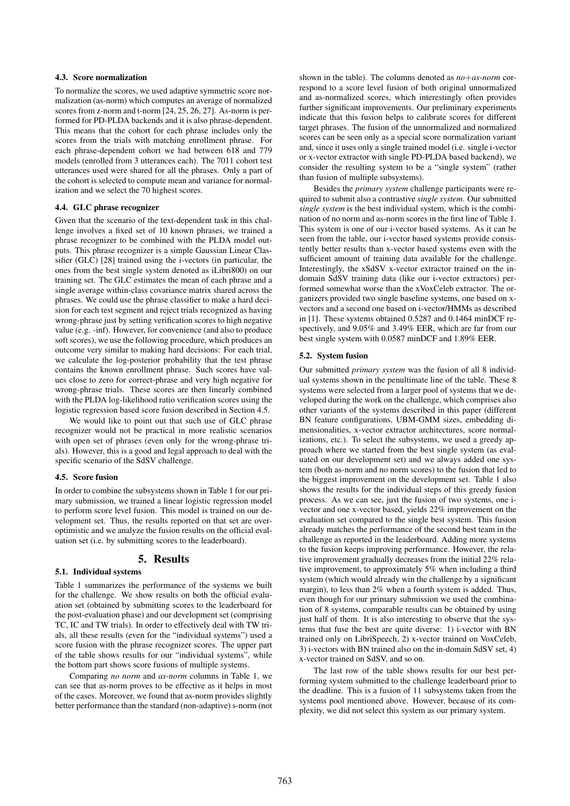#### 4.3. Score normalization

To normalize the scores, we used adaptive symmetric score normalization (as-norm) which computes an average of normalized scores from z-norm and t-norm  $[24, 25, 26, 27]$ . As-norm is performed for PD-PLDA backends and it is also phrase-dependent. This means that the cohort for each phrase includes only the scores from the trials with matching enrollment phrase. For each phrase-dependent cohort we had between 618 and 779 models (enrolled from 3 utterances each). The 7011 cohort test utterances used were shared for all the phrases. Only a part of the cohort is selected to compute mean and variance for normalization and we select the 70 highest scores.

#### 4.4. GLC phrase recognizer

Given that the scenario of the text-dependent task in this challenge involves a fixed set of 10 known phrases, we trained a phrase recognizer to be combined with the PLDA model outputs. This phrase recognizer is a simple Gaussian Linear Classifier (GLC) [28] trained using the i-vectors (in particular, the ones from the best single system denoted as iLibri800) on our training set. The GLC estimates the mean of each phrase and a single average within-class covariance matrix shared across the phrases. We could use the phrase classifier to make a hard decision for each test segment and reject trials recognized as having wrong-phrase just by setting verification scores to high negative value (e.g. -inf). However, for convenience (and also to produce soft scores), we use the following procedure, which produces an outcome very similar to making hard decisions: For each trial, we calculate the log-posterior probability that the test phrase contains the known enrollment phrase. Such scores have values close to zero for correct-phrase and very high negative for wrong-phrase trials. These scores are then linearly combined with the PLDA log-likelihood ratio verification scores using the logistic regression based score fusion described in Section 4.5.

We would like to point out that such use of GLC phrase recognizer would not be practical in more realistic scenarios with open set of phrases (even only for the wrong-phrase trials). However, this is a good and legal approach to deal with the specific scenario of the SdSV challenge.

#### 4.5. Score fusion

In order to combine the subsystems shown in Table 1 for our primary submission, we trained a linear logistic regression model to perform score level fusion. This model is trained on our development set. Thus, the results reported on that set are overoptimistic and we analyze the fusion results on the official evaluation set (i.e. by submitting scores to the leaderboard).

#### 5. Results

#### 5.1. Individual systems

Table 1 summarizes the performance of the systems we built for the challenge. We show results on both the official evaluation set (obtained by submitting scores to the leaderboard for the post-evaluation phase) and our development set (comprising TC, IC and TW trials). In order to effectively deal with TW trials, all these results (even for the "individual systems") used a score fusion with the phrase recognizer scores. The upper part of the table shows results for our "individual systems", while the bottom part shows score fusions of multiple systems.

Comparing *no norm* and *as-norm* columns in Table 1, we can see that as-norm proves to be effective as it helps in most of the cases. Moreover, we found that as-norm provides slightly better performance than the standard (non-adaptive) s-norm (not

shown in the table). The columns denoted as *no*+*as-norm* correspond to a score level fusion of both original unnormalized and as-normalized scores, which interestingly often provides further significant improvements. Our preliminary experiments indicate that this fusion helps to calibrate scores for different target phrases. The fusion of the unnormalized and normalized scores can be seen only as a special score normalization variant and, since it uses only a single trained model (i.e. single i-vector or x-vector extractor with single PD-PLDA based backend), we consider the resulting system to be a "single system" (rather than fusion of multiple subsystems).

Besides the *primary system* challenge participants were required to submit also a contrastive *single system*. Our submitted *single system* is the best individual system, which is the combination of no norm and as-norm scores in the first line of Table 1. This system is one of our i-vector based systems. As it can be seen from the table, our i-vector based systems provide consistently better results than x-vector based systems even with the sufficient amount of training data available for the challenge. Interestingly, the xSdSV x-vector extractor trained on the indomain SdSV training data (like our i-vector extractors) performed somewhat worse than the xVoxCeleb extractor. The organizers provided two single baseline systems, one based on xvectors and a second one based on i-vector/HMMs as described in [1]. These systems obtained 0.5287 and 0.1464 minDCF respectively, and 9.05% and 3.49% EER, which are far from our best single system with 0.0587 minDCF and 1.89% EER.

#### 5.2. System fusion

Our submitted *primary system* was the fusion of all 8 individual systems shown in the penultimate line of the table. These 8 systems were selected from a larger pool of systems that we developed during the work on the challenge, which comprises also other variants of the systems described in this paper (different BN feature configurations, UBM-GMM sizes, embedding dimensionalities, x-vector extractor architectures, score normalizations, etc.). To select the subsystems, we used a greedy approach where we started from the best single system (as evaluated on our development set) and we always added one system (both as-norm and no norm scores) to the fusion that led to the biggest improvement on the development set. Table 1 also shows the results for the individual steps of this greedy fusion process. As we can see, just the fusion of two systems, one ivector and one x-vector based, yields 22% improvement on the evaluation set compared to the single best system. This fusion already matches the performance of the second best team in the challenge as reported in the leaderboard. Adding more systems to the fusion keeps improving performance. However, the relative improvement gradually decreases from the initial 22% relative improvement, to approximately 5% when including a third system (which would already win the challenge by a significant margin), to less than 2% when a fourth system is added. Thus, even though for our primary submission we used the combination of 8 systems, comparable results can be obtained by using just half of them. It is also interesting to observe that the systems that fuse the best are quite diverse: 1) i-vector with BN trained only on LibriSpeech, 2) x-vector trained on VoxCeleb, 3) i-vectors with BN trained also on the in-domain SdSV set, 4) x-vector trained on SdSV, and so on.

The last row of the table shows results for our best performing system submitted to the challenge leaderboard prior to the deadline. This is a fusion of 11 subsystems taken from the systems pool mentioned above. However, because of its complexity, we did not select this system as our primary system.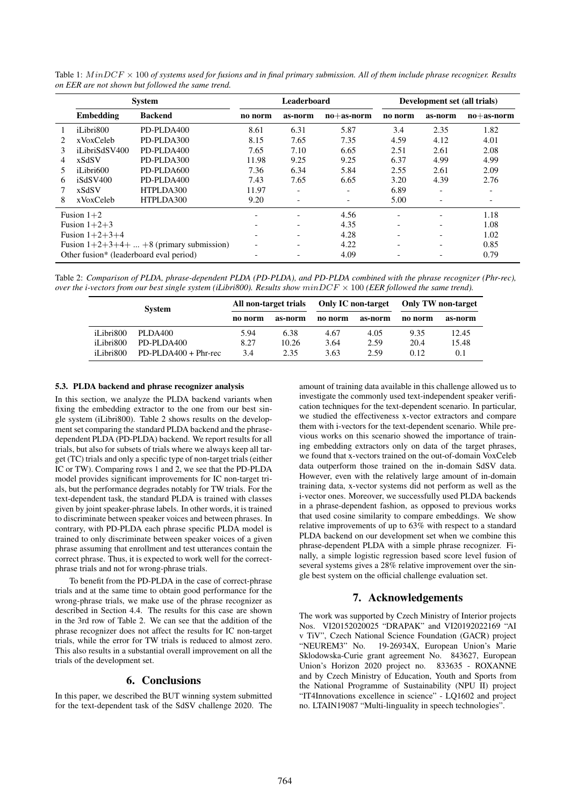|                                         | System           |                                          | <b>Leaderboard</b>       |                          |                          | Development set (all trials) |                          |              |
|-----------------------------------------|------------------|------------------------------------------|--------------------------|--------------------------|--------------------------|------------------------------|--------------------------|--------------|
|                                         | Embedding        | <b>Backend</b>                           | no norm                  | as-norm                  | $no+as-norm$             | no norm                      | as-norm                  | $no+as-norm$ |
|                                         | iLibri800        | PD-PLDA400                               | 8.61                     | 6.31                     | 5.87                     | 3.4                          | 2.35                     | 1.82         |
|                                         | xVoxCeleb        | PD-PLDA300                               | 8.15                     | 7.65                     | 7.35                     | 4.59                         | 4.12                     | 4.01         |
| 3                                       | iLibriSdSV400    | PD-PLDA400                               | 7.65                     | 7.10                     | 6.65                     | 2.51                         | 2.61                     | 2.08         |
| 4                                       | xSdSV            | PD-PLDA300                               | 11.98                    | 9.25                     | 9.25                     | 6.37                         | 4.99                     | 4.99         |
| 5.                                      | iLibri600        | PD-PLDA600                               | 7.36                     | 6.34                     | 5.84                     | 2.55                         | 2.61                     | 2.09         |
| 6                                       | iSdSV400         | PD-PLDA400                               | 7.43                     | 7.65                     | 6.65                     | 3.20                         | 4.39                     | 2.76         |
|                                         | xSdSV            | HTPLDA300                                | 11.97                    | $\overline{\phantom{0}}$ |                          | 6.89                         | $\overline{\phantom{0}}$ | -            |
| 8                                       | xVoxCeleb        | HTPLDA300                                | 9.20                     | $\overline{\phantom{a}}$ | $\overline{\phantom{a}}$ | 5.00                         | -                        | -            |
| Fusion $1+2$                            |                  |                                          |                          |                          | 4.56                     |                              |                          | 1.18         |
|                                         | Fusion $1+2+3$   |                                          |                          | $\overline{\phantom{0}}$ | 4.35                     | $\overline{\phantom{0}}$     | -                        | 1.08         |
|                                         | Fusion $1+2+3+4$ |                                          |                          | $\overline{\phantom{0}}$ | 4.28                     |                              | -                        | 1.02         |
|                                         |                  | Fusion $1+2+3+4++8$ (primary submission) | $\overline{\phantom{0}}$ | $\overline{\phantom{a}}$ | 4.22                     | $\overline{\phantom{a}}$     | -                        | 0.85         |
| Other fusion* (leaderboard eval period) |                  |                                          |                          |                          | 4.09                     |                              |                          | 0.79         |

Table 1:  $MinDCF \times 100$  of systems used for fusions and in final primary submission. All of them include phrase recognizer. Results *on EER are not shown but followed the same trend.*

Table 2: *Comparison of PLDA, phrase-dependent PLDA (PD-PLDA), and PD-PLDA combined with the phrase recognizer (Phr-rec), over the i-vectors from our best single system (iLibri800). Results show* minDCF × 100 *(EER followed the same trend).*

| <b>System</b> |                        | All non-target trials |         | Only IC non-target |         | Only TW non-target |         |
|---------------|------------------------|-----------------------|---------|--------------------|---------|--------------------|---------|
|               |                        | no norm               | as-norm | no norm            | as-norm | no norm            | as-norm |
| iLibri800     | PLDA400                | 5.94                  | 6.38    | 4.67               | 4.05    | 9.35               | 12.45   |
| iLibri800     | PD-PLDA400             | 8.27                  | 10.26   | 3.64               | 2.59    | 20.4               | 15.48   |
| iLibri800     | $PD-PLDA400 + Phr-rec$ | 3.4                   | 2.35    | 3.63               | 2.59    | 0.12               | 0.1     |

#### 5.3. PLDA backend and phrase recognizer analysis

In this section, we analyze the PLDA backend variants when fixing the embedding extractor to the one from our best single system (iLibri800). Table 2 shows results on the development set comparing the standard PLDA backend and the phrasedependent PLDA (PD-PLDA) backend. We report results for all trials, but also for subsets of trials where we always keep all target (TC) trials and only a specific type of non-target trials (either IC or TW). Comparing rows 1 and 2, we see that the PD-PLDA model provides significant improvements for IC non-target trials, but the performance degrades notably for TW trials. For the text-dependent task, the standard PLDA is trained with classes given by joint speaker-phrase labels. In other words, it is trained to discriminate between speaker voices and between phrases. In contrary, with PD-PLDA each phrase specific PLDA model is trained to only discriminate between speaker voices of a given phrase assuming that enrollment and test utterances contain the correct phrase. Thus, it is expected to work well for the correctphrase trials and not for wrong-phrase trials.

To benefit from the PD-PLDA in the case of correct-phrase trials and at the same time to obtain good performance for the wrong-phrase trials, we make use of the phrase recognizer as described in Section 4.4. The results for this case are shown in the 3rd row of Table 2. We can see that the addition of the phrase recognizer does not affect the results for IC non-target trials, while the error for TW trials is reduced to almost zero. This also results in a substantial overall improvement on all the trials of the development set.

### 6. Conclusions

In this paper, we described the BUT winning system submitted for the text-dependent task of the SdSV challenge 2020. The

amount of training data available in this challenge allowed us to investigate the commonly used text-independent speaker verification techniques for the text-dependent scenario. In particular, we studied the effectiveness x-vector extractors and compare them with i-vectors for the text-dependent scenario. While previous works on this scenario showed the importance of training embedding extractors only on data of the target phrases, we found that x-vectors trained on the out-of-domain VoxCeleb data outperform those trained on the in-domain SdSV data. However, even with the relatively large amount of in-domain training data, x-vector systems did not perform as well as the i-vector ones. Moreover, we successfully used PLDA backends in a phrase-dependent fashion, as opposed to previous works that used cosine similarity to compare embeddings. We show relative improvements of up to 63% with respect to a standard PLDA backend on our development set when we combine this phrase-dependent PLDA with a simple phrase recognizer. Finally, a simple logistic regression based score level fusion of several systems gives a 28% relative improvement over the single best system on the official challenge evaluation set.

### 7. Acknowledgements

The work was supported by Czech Ministry of Interior projects Nos. VI20152020025 "DRAPAK" and VI20192022169 "AI v TiV", Czech National Science Foundation (GACR) project "NEUREM3" No. 19-26934X, European Union's Marie Sklodowska-Curie grant agreement No. 843627, European Union's Horizon 2020 project no. 833635 - ROXANNE and by Czech Ministry of Education, Youth and Sports from the National Programme of Sustainability (NPU II) project "IT4Innovations excellence in science" - LQ1602 and project no. LTAIN19087 "Multi-linguality in speech technologies".